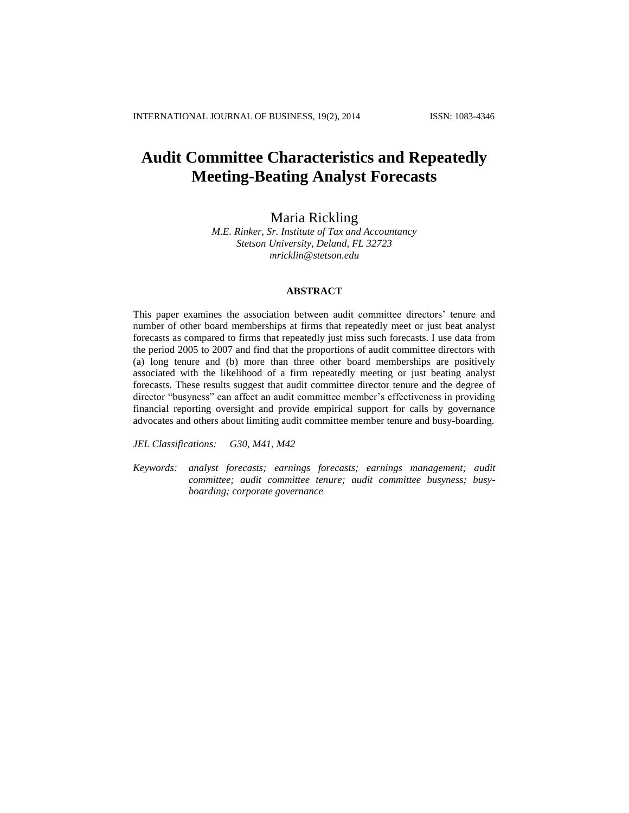# **Audit Committee Characteristics and Repeatedly Meeting-Beating Analyst Forecasts**

# Maria Rickling

*M.E. Rinker, Sr. Institute of Tax and Accountancy Stetson University, Deland, FL 32723 mricklin@stetson.edu*

### **ABSTRACT**

This paper examines the association between audit committee directors' tenure and number of other board memberships at firms that repeatedly meet or just beat analyst forecasts as compared to firms that repeatedly just miss such forecasts. I use data from the period 2005 to 2007 and find that the proportions of audit committee directors with (a) long tenure and (b) more than three other board memberships are positively associated with the likelihood of a firm repeatedly meeting or just beating analyst forecasts. These results suggest that audit committee director tenure and the degree of director "busyness" can affect an audit committee member's effectiveness in providing financial reporting oversight and provide empirical support for calls by governance advocates and others about limiting audit committee member tenure and busy-boarding.

*JEL Classifications: G30, M41, M42*

*Keywords: analyst forecasts; earnings forecasts; earnings management; audit committee; audit committee tenure; audit committee busyness; busyboarding; corporate governance*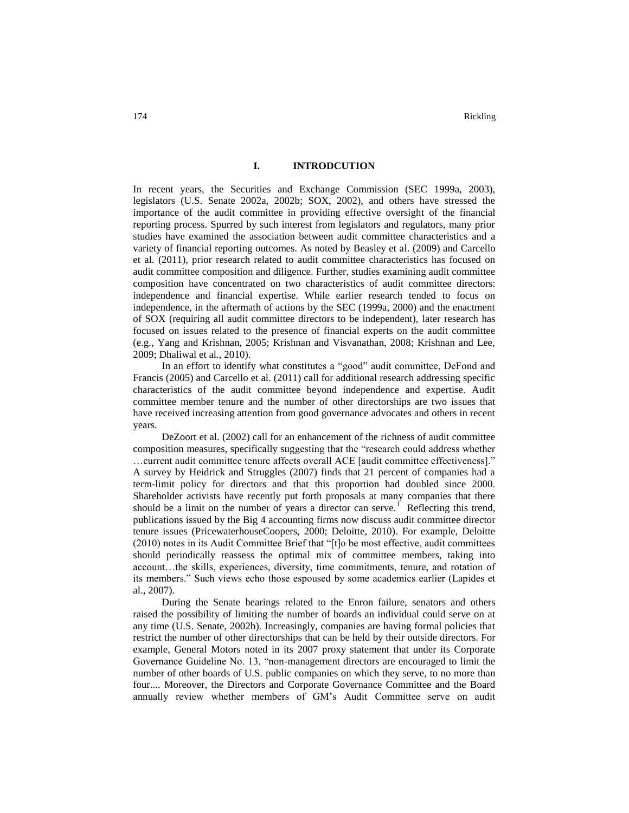### **I. INTRODCUTION**

In recent years, the Securities and Exchange Commission (SEC 1999a, 2003), legislators (U.S. Senate 2002a, 2002b; SOX, 2002), and others have stressed the importance of the audit committee in providing effective oversight of the financial reporting process. Spurred by such interest from legislators and regulators, many prior studies have examined the association between audit committee characteristics and a variety of financial reporting outcomes. As noted by Beasley et al. (2009) and Carcello et al. (2011), prior research related to audit committee characteristics has focused on audit committee composition and diligence. Further, studies examining audit committee composition have concentrated on two characteristics of audit committee directors: independence and financial expertise. While earlier research tended to focus on independence, in the aftermath of actions by the SEC (1999a, 2000) and the enactment of SOX (requiring all audit committee directors to be independent), later research has focused on issues related to the presence of financial experts on the audit committee (e.g., Yang and Krishnan, 2005; Krishnan and Visvanathan, 2008; Krishnan and Lee, 2009; Dhaliwal et al., 2010).

In an effort to identify what constitutes a "good" audit committee, DeFond and Francis (2005) and Carcello et al. (2011) call for additional research addressing specific characteristics of the audit committee beyond independence and expertise. Audit committee member tenure and the number of other directorships are two issues that have received increasing attention from good governance advocates and others in recent years.

DeZoort et al. (2002) call for an enhancement of the richness of audit committee composition measures, specifically suggesting that the "research could address whether …current audit committee tenure affects overall ACE [audit committee effectiveness]." A survey by Heidrick and Struggles (2007) finds that 21 percent of companies had a term-limit policy for directors and that this proportion had doubled since 2000. Shareholder activists have recently put forth proposals at many companies that there should be a limit on the number of years a director can serve.<sup>1</sup> Reflecting this trend, publications issued by the Big 4 accounting firms now discuss audit committee director tenure issues (PricewaterhouseCoopers, 2000; Deloitte, 2010). For example, Deloitte (2010) notes in its Audit Committee Brief that "[t]o be most effective, audit committees should periodically reassess the optimal mix of committee members, taking into account…the skills, experiences, diversity, time commitments, tenure, and rotation of its members." Such views echo those espoused by some academics earlier (Lapides et al., 2007).

During the Senate hearings related to the Enron failure, senators and others raised the possibility of limiting the number of boards an individual could serve on at any time (U.S. Senate, 2002b). Increasingly, companies are having formal policies that restrict the number of other directorships that can be held by their outside directors. For example, General Motors noted in its 2007 proxy statement that under its Corporate Governance Guideline No. 13, "non-management directors are encouraged to limit the number of other boards of U.S. public companies on which they serve, to no more than four.... Moreover, the Directors and Corporate Governance Committee and the Board annually review whether members of GM's Audit Committee serve on audit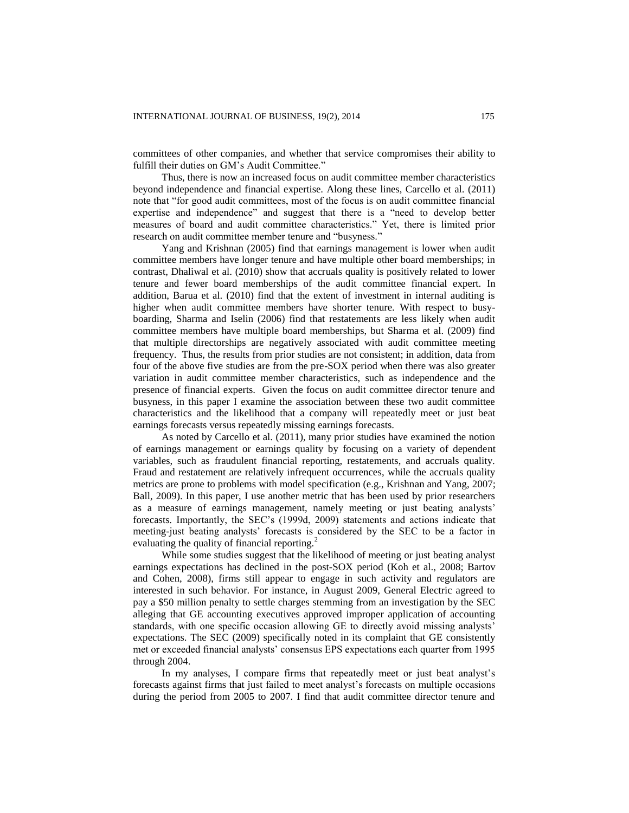committees of other companies, and whether that service compromises their ability to fulfill their duties on GM's Audit Committee."

Thus, there is now an increased focus on audit committee member characteristics beyond independence and financial expertise. Along these lines, Carcello et al. (2011) note that "for good audit committees, most of the focus is on audit committee financial expertise and independence" and suggest that there is a "need to develop better measures of board and audit committee characteristics." Yet, there is limited prior research on audit committee member tenure and "busyness."

Yang and Krishnan (2005) find that earnings management is lower when audit committee members have longer tenure and have multiple other board memberships; in contrast, Dhaliwal et al. (2010) show that accruals quality is positively related to lower tenure and fewer board memberships of the audit committee financial expert. In addition, Barua et al. (2010) find that the extent of investment in internal auditing is higher when audit committee members have shorter tenure. With respect to busyboarding, Sharma and Iselin (2006) find that restatements are less likely when audit committee members have multiple board memberships, but Sharma et al. (2009) find that multiple directorships are negatively associated with audit committee meeting frequency. Thus, the results from prior studies are not consistent; in addition, data from four of the above five studies are from the pre-SOX period when there was also greater variation in audit committee member characteristics, such as independence and the presence of financial experts. Given the focus on audit committee director tenure and busyness, in this paper I examine the association between these two audit committee characteristics and the likelihood that a company will repeatedly meet or just beat earnings forecasts versus repeatedly missing earnings forecasts.

As noted by Carcello et al. (2011), many prior studies have examined the notion of earnings management or earnings quality by focusing on a variety of dependent variables, such as fraudulent financial reporting, restatements, and accruals quality. Fraud and restatement are relatively infrequent occurrences, while the accruals quality metrics are prone to problems with model specification (e.g., Krishnan and Yang, 2007; Ball, 2009). In this paper, I use another metric that has been used by prior researchers as a measure of earnings management, namely meeting or just beating analysts' forecasts. Importantly, the SEC's (1999d, 2009) statements and actions indicate that meeting-just beating analysts' forecasts is considered by the SEC to be a factor in evaluating the quality of financial reporting.<sup>2</sup>

While some studies suggest that the likelihood of meeting or just beating analyst earnings expectations has declined in the post-SOX period (Koh et al., 2008; Bartov and Cohen, 2008), firms still appear to engage in such activity and regulators are interested in such behavior. For instance, in August 2009, General Electric agreed to pay a \$50 million penalty to settle charges stemming from an investigation by the SEC alleging that GE accounting executives approved improper application of accounting standards, with one specific occasion allowing GE to directly avoid missing analysts' expectations. The SEC (2009) specifically noted in its complaint that GE consistently met or exceeded financial analysts' consensus EPS expectations each quarter from 1995 through 2004.

In my analyses, I compare firms that repeatedly meet or just beat analyst's forecasts against firms that just failed to meet analyst's forecasts on multiple occasions during the period from 2005 to 2007. I find that audit committee director tenure and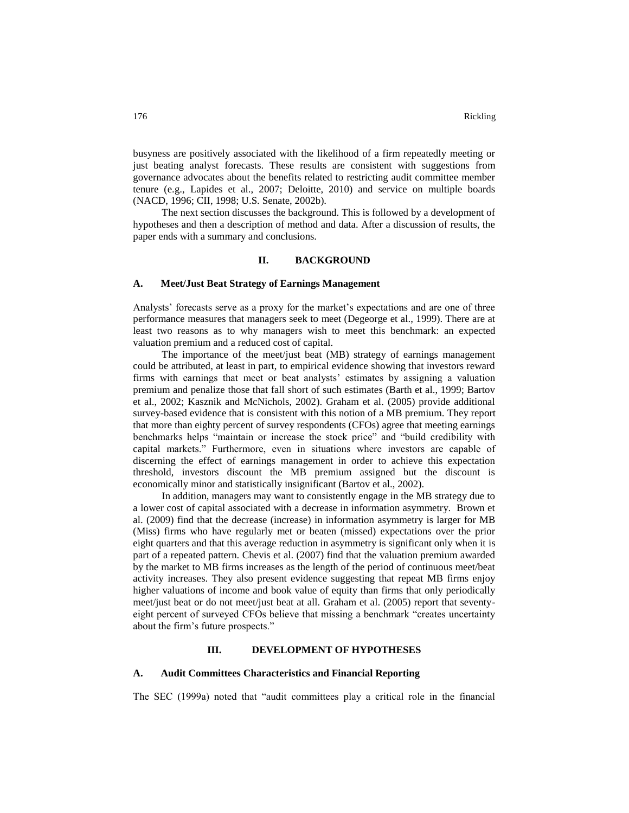busyness are positively associated with the likelihood of a firm repeatedly meeting or just beating analyst forecasts. These results are consistent with suggestions from governance advocates about the benefits related to restricting audit committee member tenure (e.g., Lapides et al., 2007; Deloitte, 2010) and service on multiple boards (NACD, 1996; CII, 1998; U.S. Senate, 2002b).

The next section discusses the background. This is followed by a development of hypotheses and then a description of method and data. After a discussion of results, the paper ends with a summary and conclusions.

### **II. BACKGROUND**

### **A. Meet/Just Beat Strategy of Earnings Management**

Analysts' forecasts serve as a proxy for the market's expectations and are one of three performance measures that managers seek to meet (Degeorge et al., 1999). There are at least two reasons as to why managers wish to meet this benchmark: an expected valuation premium and a reduced cost of capital.

The importance of the meet/just beat (MB) strategy of earnings management could be attributed, at least in part, to empirical evidence showing that investors reward firms with earnings that meet or beat analysts' estimates by assigning a valuation premium and penalize those that fall short of such estimates (Barth et al., 1999; Bartov et al., 2002; Kasznik and McNichols, 2002). Graham et al. (2005) provide additional survey-based evidence that is consistent with this notion of a MB premium. They report that more than eighty percent of survey respondents (CFOs) agree that meeting earnings benchmarks helps "maintain or increase the stock price" and "build credibility with capital markets." Furthermore, even in situations where investors are capable of discerning the effect of earnings management in order to achieve this expectation threshold, investors discount the MB premium assigned but the discount is economically minor and statistically insignificant (Bartov et al., 2002).

In addition, managers may want to consistently engage in the MB strategy due to a lower cost of capital associated with a decrease in information asymmetry. Brown et al. (2009) find that the decrease (increase) in information asymmetry is larger for MB (Miss) firms who have regularly met or beaten (missed) expectations over the prior eight quarters and that this average reduction in asymmetry is significant only when it is part of a repeated pattern. Chevis et al. (2007) find that the valuation premium awarded by the market to MB firms increases as the length of the period of continuous meet/beat activity increases. They also present evidence suggesting that repeat MB firms enjoy higher valuations of income and book value of equity than firms that only periodically meet/just beat or do not meet/just beat at all. Graham et al. (2005) report that seventyeight percent of surveyed CFOs believe that missing a benchmark "creates uncertainty about the firm's future prospects."

# **III. DEVELOPMENT OF HYPOTHESES**

### **A. Audit Committees Characteristics and Financial Reporting**

The SEC (1999a) noted that "audit committees play a critical role in the financial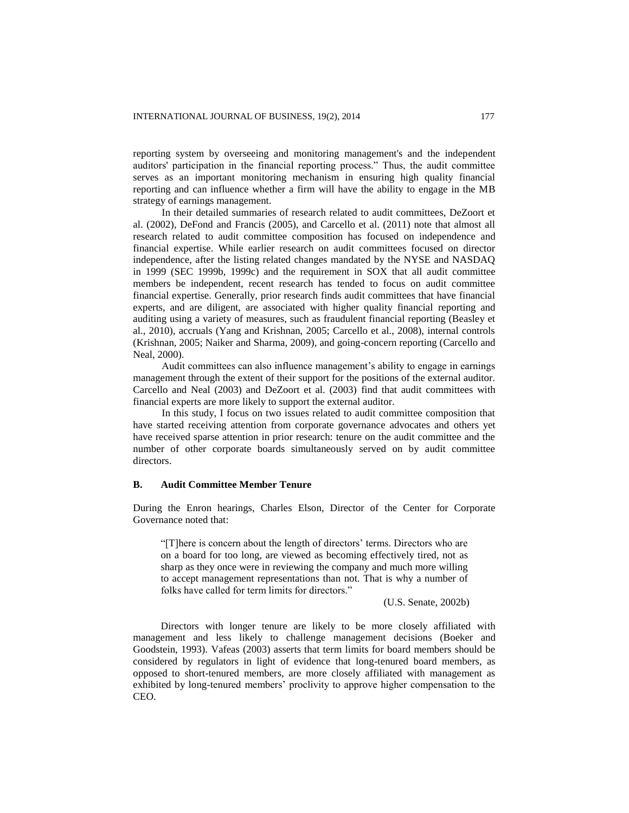reporting system by overseeing and monitoring management's and the independent auditors' participation in the financial reporting process." Thus, the audit committee serves as an important monitoring mechanism in ensuring high quality financial reporting and can influence whether a firm will have the ability to engage in the MB strategy of earnings management.

In their detailed summaries of research related to audit committees, DeZoort et al. (2002), DeFond and Francis (2005), and Carcello et al. (2011) note that almost all research related to audit committee composition has focused on independence and financial expertise. While earlier research on audit committees focused on director independence, after the listing related changes mandated by the NYSE and NASDAQ in 1999 (SEC 1999b, 1999c) and the requirement in SOX that all audit committee members be independent, recent research has tended to focus on audit committee financial expertise. Generally, prior research finds audit committees that have financial experts, and are diligent, are associated with higher quality financial reporting and auditing using a variety of measures, such as fraudulent financial reporting (Beasley et al., 2010), accruals (Yang and Krishnan, 2005; Carcello et al., 2008), internal controls (Krishnan, 2005; Naiker and Sharma, 2009), and going-concern reporting (Carcello and Neal, 2000).

Audit committees can also influence management's ability to engage in earnings management through the extent of their support for the positions of the external auditor. Carcello and Neal (2003) and DeZoort et al. (2003) find that audit committees with financial experts are more likely to support the external auditor.

In this study, I focus on two issues related to audit committee composition that have started receiving attention from corporate governance advocates and others yet have received sparse attention in prior research: tenure on the audit committee and the number of other corporate boards simultaneously served on by audit committee directors.

### **B. Audit Committee Member Tenure**

During the Enron hearings, Charles Elson, Director of the Center for Corporate Governance noted that:

"[T]here is concern about the length of directors' terms. Directors who are on a board for too long, are viewed as becoming effectively tired, not as sharp as they once were in reviewing the company and much more willing to accept management representations than not. That is why a number of folks have called for term limits for directors."

(U.S. Senate, 2002b)

Directors with longer tenure are likely to be more closely affiliated with management and less likely to challenge management decisions (Boeker and Goodstein, 1993). Vafeas (2003) asserts that term limits for board members should be considered by regulators in light of evidence that long-tenured board members, as opposed to short-tenured members, are more closely affiliated with management as exhibited by long-tenured members' proclivity to approve higher compensation to the CEO.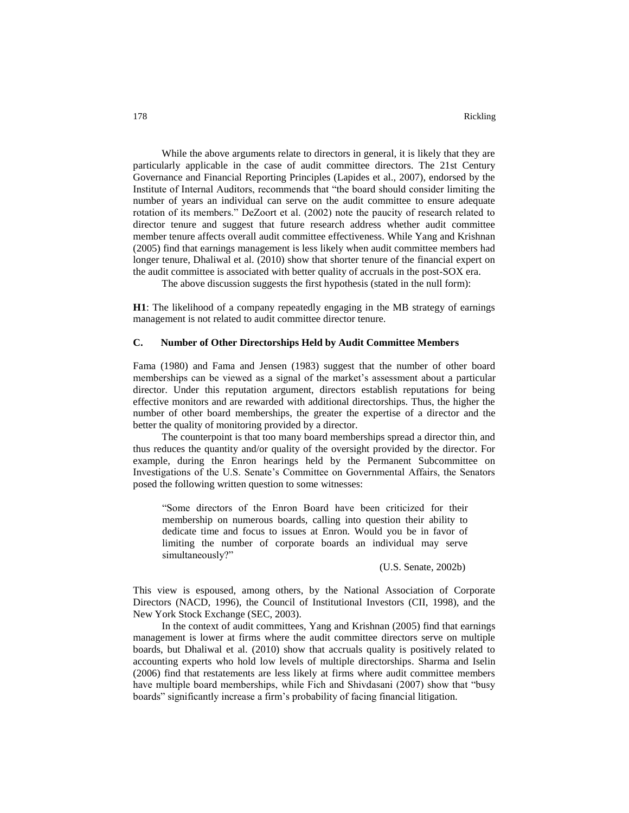While the above arguments relate to directors in general, it is likely that they are particularly applicable in the case of audit committee directors. The 21st Century Governance and Financial Reporting Principles (Lapides et al., 2007), endorsed by the Institute of Internal Auditors, recommends that "the board should consider limiting the number of years an individual can serve on the audit committee to ensure adequate rotation of its members." DeZoort et al. (2002) note the paucity of research related to director tenure and suggest that future research address whether audit committee member tenure affects overall audit committee effectiveness. While Yang and Krishnan (2005) find that earnings management is less likely when audit committee members had longer tenure, Dhaliwal et al. (2010) show that shorter tenure of the financial expert on the audit committee is associated with better quality of accruals in the post-SOX era.

The above discussion suggests the first hypothesis (stated in the null form):

**H1**: The likelihood of a company repeatedly engaging in the MB strategy of earnings management is not related to audit committee director tenure.

# **C. Number of Other Directorships Held by Audit Committee Members**

Fama (1980) and Fama and Jensen (1983) suggest that the number of other board memberships can be viewed as a signal of the market's assessment about a particular director. Under this reputation argument, directors establish reputations for being effective monitors and are rewarded with additional directorships. Thus, the higher the number of other board memberships, the greater the expertise of a director and the better the quality of monitoring provided by a director.

The counterpoint is that too many board memberships spread a director thin, and thus reduces the quantity and/or quality of the oversight provided by the director. For example, during the Enron hearings held by the Permanent Subcommittee on Investigations of the U.S. Senate's Committee on Governmental Affairs, the Senators posed the following written question to some witnesses:

"Some directors of the Enron Board have been criticized for their membership on numerous boards, calling into question their ability to dedicate time and focus to issues at Enron. Would you be in favor of limiting the number of corporate boards an individual may serve simultaneously?"

(U.S. Senate, 2002b)

This view is espoused, among others, by the National Association of Corporate Directors (NACD, 1996), the Council of Institutional Investors (CII, 1998), and the New York Stock Exchange (SEC, 2003).

In the context of audit committees, Yang and Krishnan (2005) find that earnings management is lower at firms where the audit committee directors serve on multiple boards, but Dhaliwal et al. (2010) show that accruals quality is positively related to accounting experts who hold low levels of multiple directorships. Sharma and Iselin (2006) find that restatements are less likely at firms where audit committee members have multiple board memberships, while Fich and Shivdasani (2007) show that "busy boards" significantly increase a firm's probability of facing financial litigation.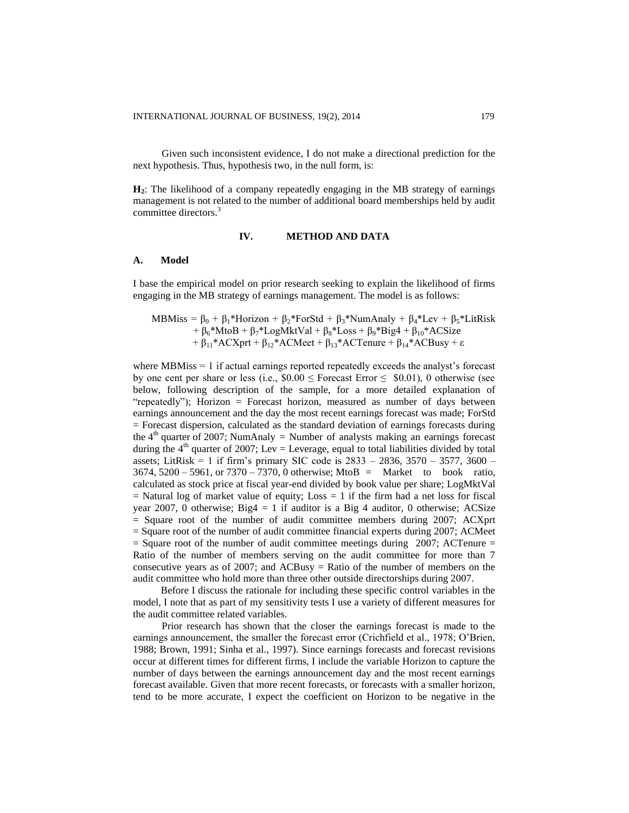Given such inconsistent evidence, I do not make a directional prediction for the next hypothesis. Thus, hypothesis two, in the null form, is:

**H2**: The likelihood of a company repeatedly engaging in the MB strategy of earnings management is not related to the number of additional board memberships held by audit committee directors.<sup>3</sup>

## **IV. METHOD AND DATA**

### **A. Model**

I base the empirical model on prior research seeking to explain the likelihood of firms engaging in the MB strategy of earnings management. The model is as follows:

MBMiss = 
$$
\beta_0 + \beta_1 * Horizon + \beta_2 * ForStd + \beta_3 * NumAnaly + \beta_4 * Lev + \beta_5 * LitRisk
$$
  
+  $\beta_6 * MtoB + \beta_7 * LogMktVal + \beta_8 * Loss + \beta_9 * Big4 + \beta_{10} * ACSize$   
+  $\beta_{11} * ACXprt + \beta_{12} * ACMeet + \beta_{13} * ACTenure + \beta_{14} * ACBusy + \epsilon$ 

where MBMiss = 1 if actual earnings reported repeatedly exceeds the analyst's forecast by one cent per share or less (i.e.,  $$0.00 \leq$  Forecast Error  $\leq $0.01$ ), 0 otherwise (see below, following description of the sample, for a more detailed explanation of "repeatedly"); Horizon = Forecast horizon, measured as number of days between earnings announcement and the day the most recent earnings forecast was made; ForStd = Forecast dispersion, calculated as the standard deviation of earnings forecasts during the  $4<sup>th</sup>$  quarter of 2007; NumAnaly = Number of analysts making an earnings forecast during the  $4<sup>th</sup>$  quarter of 2007; Lev = Leverage, equal to total liabilities divided by total assets; LitRisk = 1 if firm's primary SIC code is  $2833 - 2836$ ,  $3570 - 3577$ ,  $3600 -$ 3674, 5200 – 5961, or 7370 – 7370, 0 otherwise; MtoB = Market to book ratio, calculated as stock price at fiscal year-end divided by book value per share; LogMktVal  $=$  Natural log of market value of equity; Loss  $=$  1 if the firm had a net loss for fiscal year 2007, 0 otherwise; Big4 = 1 if auditor is a Big 4 auditor, 0 otherwise; ACSize = Square root of the number of audit committee members during 2007; ACXprt = Square root of the number of audit committee financial experts during 2007; ACMeet  $=$  Square root of the number of audit committee meetings during 2007; ACTenure  $=$ Ratio of the number of members serving on the audit committee for more than 7 consecutive years as of 2007; and ACBusy = Ratio of the number of members on the audit committee who hold more than three other outside directorships during 2007.

Before I discuss the rationale for including these specific control variables in the model, I note that as part of my sensitivity tests I use a variety of different measures for the audit committee related variables.

Prior research has shown that the closer the earnings forecast is made to the earnings announcement, the smaller the forecast error (Crichfield et al., 1978; O'Brien, 1988; Brown, 1991; Sinha et al., 1997). Since earnings forecasts and forecast revisions occur at different times for different firms, I include the variable Horizon to capture the number of days between the earnings announcement day and the most recent earnings forecast available. Given that more recent forecasts, or forecasts with a smaller horizon, tend to be more accurate, I expect the coefficient on Horizon to be negative in the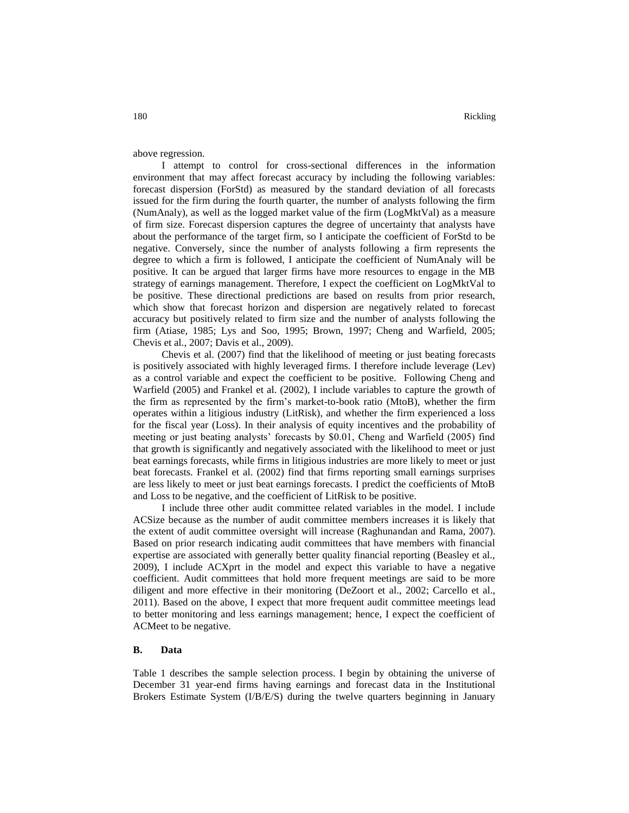above regression.

I attempt to control for cross-sectional differences in the information environment that may affect forecast accuracy by including the following variables: forecast dispersion (ForStd) as measured by the standard deviation of all forecasts issued for the firm during the fourth quarter, the number of analysts following the firm (NumAnaly), as well as the logged market value of the firm (LogMktVal) as a measure of firm size. Forecast dispersion captures the degree of uncertainty that analysts have about the performance of the target firm, so I anticipate the coefficient of ForStd to be negative. Conversely, since the number of analysts following a firm represents the degree to which a firm is followed, I anticipate the coefficient of NumAnaly will be positive. It can be argued that larger firms have more resources to engage in the MB strategy of earnings management. Therefore, I expect the coefficient on LogMktVal to be positive. These directional predictions are based on results from prior research, which show that forecast horizon and dispersion are negatively related to forecast accuracy but positively related to firm size and the number of analysts following the firm (Atiase, 1985; Lys and Soo, 1995; Brown, 1997; Cheng and Warfield, 2005; Chevis et al., 2007; Davis et al., 2009).

Chevis et al. (2007) find that the likelihood of meeting or just beating forecasts is positively associated with highly leveraged firms. I therefore include leverage (Lev) as a control variable and expect the coefficient to be positive. Following Cheng and Warfield (2005) and Frankel et al. (2002), I include variables to capture the growth of the firm as represented by the firm's market-to-book ratio (MtoB), whether the firm operates within a litigious industry (LitRisk), and whether the firm experienced a loss for the fiscal year (Loss). In their analysis of equity incentives and the probability of meeting or just beating analysts' forecasts by \$0.01, Cheng and Warfield (2005) find that growth is significantly and negatively associated with the likelihood to meet or just beat earnings forecasts, while firms in litigious industries are more likely to meet or just beat forecasts. Frankel et al. (2002) find that firms reporting small earnings surprises are less likely to meet or just beat earnings forecasts. I predict the coefficients of MtoB and Loss to be negative, and the coefficient of LitRisk to be positive.

I include three other audit committee related variables in the model. I include ACSize because as the number of audit committee members increases it is likely that the extent of audit committee oversight will increase (Raghunandan and Rama, 2007). Based on prior research indicating audit committees that have members with financial expertise are associated with generally better quality financial reporting (Beasley et al., 2009), I include ACXprt in the model and expect this variable to have a negative coefficient. Audit committees that hold more frequent meetings are said to be more diligent and more effective in their monitoring (DeZoort et al., 2002; Carcello et al., 2011). Based on the above, I expect that more frequent audit committee meetings lead to better monitoring and less earnings management; hence, I expect the coefficient of ACMeet to be negative.

### **B. Data**

Table 1 describes the sample selection process. I begin by obtaining the universe of December 31 year-end firms having earnings and forecast data in the Institutional Brokers Estimate System (I/B/E/S) during the twelve quarters beginning in January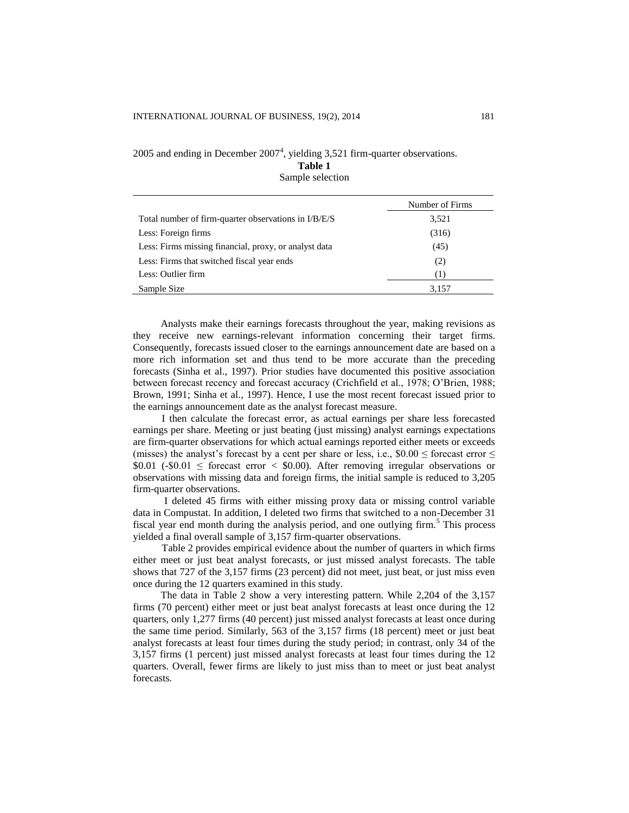# 2005 and ending in December  $2007<sup>4</sup>$ , yielding 3,521 firm-quarter observations.

**Table 1**

Sample selection

|                                                       | Number of Firms |
|-------------------------------------------------------|-----------------|
| Total number of firm-quarter observations in I/B/E/S  | 3,521           |
| Less: Foreign firms                                   | (316)           |
| Less: Firms missing financial, proxy, or analyst data | (45)            |
| Less: Firms that switched fiscal year ends            | (2)             |
| Less: Outlier firm                                    | 1)              |
| Sample Size                                           | 3,157           |

Analysts make their earnings forecasts throughout the year, making revisions as they receive new earnings-relevant information concerning their target firms. Consequently, forecasts issued closer to the earnings announcement date are based on a more rich information set and thus tend to be more accurate than the preceding forecasts (Sinha et al., 1997). Prior studies have documented this positive association between forecast recency and forecast accuracy (Crichfield et al., 1978; O'Brien, 1988; Brown, 1991; Sinha et al., 1997). Hence, I use the most recent forecast issued prior to the earnings announcement date as the analyst forecast measure.

I then calculate the forecast error, as actual earnings per share less forecasted earnings per share. Meeting or just beating (just missing) analyst earnings expectations are firm-quarter observations for which actual earnings reported either meets or exceeds (misses) the analyst's forecast by a cent per share or less, i.e.,  $$0.00 \le$  forecast error  $\le$  $$0.01$  (- $$0.01 \le$  forecast error < \$0.00). After removing irregular observations or observations with missing data and foreign firms, the initial sample is reduced to 3,205 firm-quarter observations.

I deleted 45 firms with either missing proxy data or missing control variable data in Compustat. In addition, I deleted two firms that switched to a non-December 31 fiscal year end month during the analysis period, and one outlying firm.<sup>5</sup> This process yielded a final overall sample of 3,157 firm-quarter observations.

Table 2 provides empirical evidence about the number of quarters in which firms either meet or just beat analyst forecasts, or just missed analyst forecasts. The table shows that 727 of the 3,157 firms (23 percent) did not meet, just beat, or just miss even once during the 12 quarters examined in this study.

The data in Table 2 show a very interesting pattern. While 2,204 of the 3,157 firms (70 percent) either meet or just beat analyst forecasts at least once during the 12 quarters, only 1,277 firms (40 percent) just missed analyst forecasts at least once during the same time period. Similarly, 563 of the 3,157 firms (18 percent) meet or just beat analyst forecasts at least four times during the study period; in contrast, only 34 of the 3,157 firms (1 percent) just missed analyst forecasts at least four times during the 12 quarters. Overall, fewer firms are likely to just miss than to meet or just beat analyst forecasts.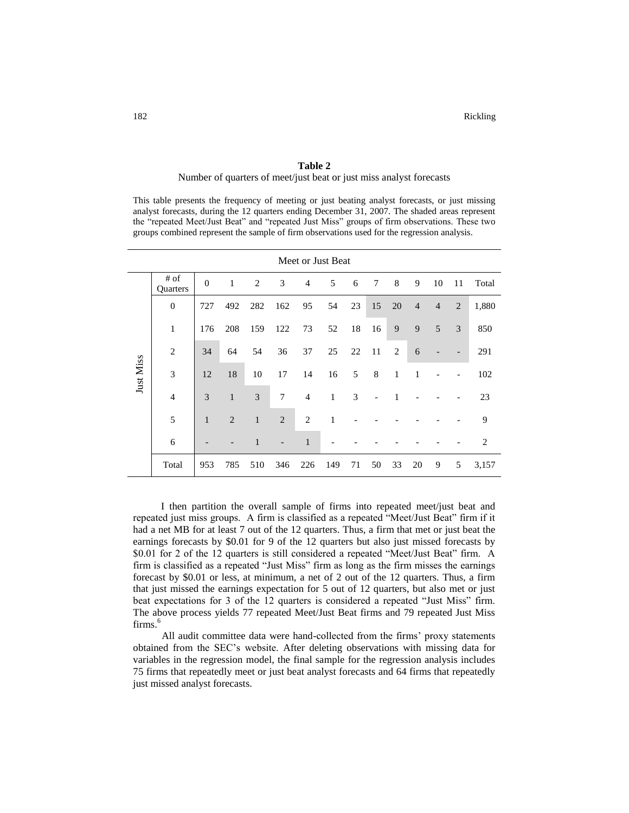# **Table 2** Number of quarters of meet/just beat or just miss analyst forecasts

This table presents the frequency of meeting or just beating analyst forecasts, or just missing analyst forecasts, during the 12 quarters ending December 31, 2007. The shaded areas represent the "repeated Meet/Just Beat" and "repeated Just Miss" groups of firm observations. These two groups combined represent the sample of firm observations used for the regression analysis.

| Meet or Just Beat |                  |              |                |                |                |                |     |    |    |                |                |                |                |       |
|-------------------|------------------|--------------|----------------|----------------|----------------|----------------|-----|----|----|----------------|----------------|----------------|----------------|-------|
|                   | # of<br>Quarters | $\Omega$     | 1              | $\overline{2}$ | 3              | $\overline{4}$ | 5   | 6  | 7  | 8              | 9              | 10             | 11             | Total |
|                   | $\overline{0}$   | 727          | 492            | 282            | 162            | 95             | 54  | 23 | 15 | 20             | $\overline{4}$ | $\overline{4}$ | $\overline{2}$ | 1,880 |
|                   | 1                | 176          | 208            | 159            | 122            | 73             | 52  | 18 | 16 | 9              | 9              | 5              | 3              | 850   |
| Just Miss         | 2                | 34           | 64             | 54             | 36             | 37             | 25  | 22 | 11 | $\overline{2}$ | 6              |                |                | 291   |
|                   | 3                | 12           | 18             | 10             | 17             | 14             | 16  | 5  | 8  | 1              | 1              |                |                | 102   |
|                   | $\overline{4}$   | 3            | $\mathbf{1}$   | 3              | 7              | $\overline{4}$ | 1   | 3  |    | 1              |                |                |                | 23    |
|                   | 5                | $\mathbf{1}$ | $\overline{2}$ | $\mathbf{1}$   | $\overline{2}$ | $\overline{2}$ | 1   |    |    |                |                |                |                | 9     |
|                   | 6                |              |                | 1              |                | $\mathbf{1}$   |     |    |    |                |                |                |                | 2     |
|                   | Total            | 953          | 785            | 510            | 346            | 226            | 149 | 71 | 50 | 33             | 20             | 9              | 5              | 3,157 |

I then partition the overall sample of firms into repeated meet/just beat and repeated just miss groups. A firm is classified as a repeated "Meet/Just Beat" firm if it had a net MB for at least 7 out of the 12 quarters. Thus, a firm that met or just beat the earnings forecasts by \$0.01 for 9 of the 12 quarters but also just missed forecasts by \$0.01 for 2 of the 12 quarters is still considered a repeated "Meet/Just Beat" firm. A firm is classified as a repeated "Just Miss" firm as long as the firm misses the earnings forecast by \$0.01 or less, at minimum, a net of 2 out of the 12 quarters. Thus, a firm that just missed the earnings expectation for 5 out of 12 quarters, but also met or just beat expectations for 3 of the 12 quarters is considered a repeated "Just Miss" firm. The above process yields 77 repeated Meet/Just Beat firms and 79 repeated Just Miss firms.<sup>6</sup>

All audit committee data were hand-collected from the firms' proxy statements obtained from the SEC's website. After deleting observations with missing data for variables in the regression model, the final sample for the regression analysis includes 75 firms that repeatedly meet or just beat analyst forecasts and 64 firms that repeatedly just missed analyst forecasts.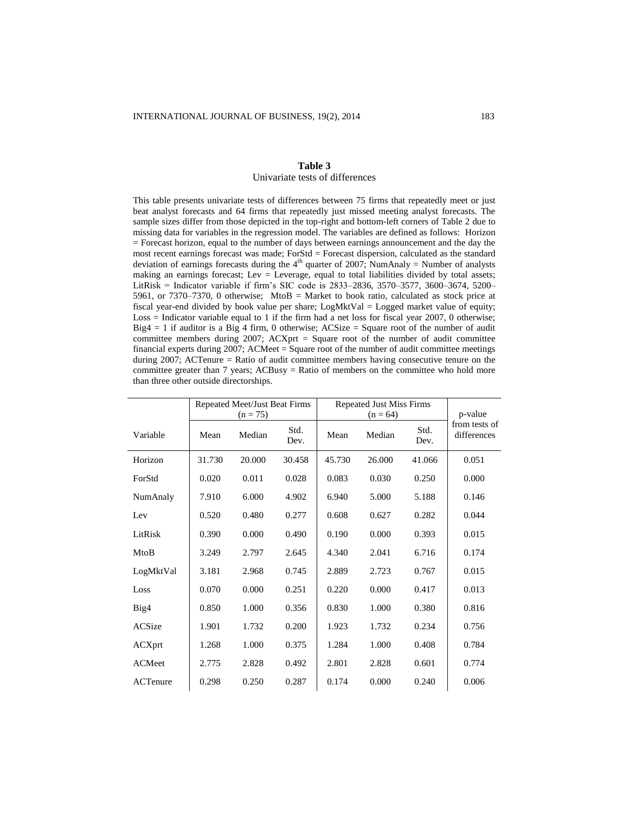### **Table 3** Univariate tests of differences

This table presents univariate tests of differences between 75 firms that repeatedly meet or just beat analyst forecasts and 64 firms that repeatedly just missed meeting analyst forecasts. The sample sizes differ from those depicted in the top-right and bottom-left corners of Table 2 due to missing data for variables in the regression model. The variables are defined as follows: Horizon = Forecast horizon, equal to the number of days between earnings announcement and the day the most recent earnings forecast was made; ForStd = Forecast dispersion, calculated as the standard deviation of earnings forecasts during the  $4<sup>th</sup>$  quarter of 2007; NumAnaly = Number of analysts making an earnings forecast; Lev = Leverage, equal to total liabilities divided by total assets; LitRisk = Indicator variable if firm's SIC code is 2833–2836, 3570–3577, 3600–3674, 5200– 5961, or 7370–7370, 0 otherwise; MtoB = Market to book ratio, calculated as stock price at fiscal year-end divided by book value per share; LogMktVal = Logged market value of equity; Loss = Indicator variable equal to 1 if the firm had a net loss for fiscal year 2007, 0 otherwise;  $Big = 1$  if auditor is a Big 4 firm, 0 otherwise; ACSize = Square root of the number of audit committee members during 2007; ACXprt = Square root of the number of audit committee financial experts during 2007; ACMeet = Square root of the number of audit committee meetings during 2007; ACTenure = Ratio of audit committee members having consecutive tenure on the committee greater than 7 years; ACBusy = Ratio of members on the committee who hold more than three other outside directorships.

|                 |        | Repeated Meet/Just Beat Firms |        | <b>Repeated Just Miss Firms</b> |            |        |                          |
|-----------------|--------|-------------------------------|--------|---------------------------------|------------|--------|--------------------------|
|                 |        | $(n = 75)$                    | Std.   |                                 | $(n = 64)$ | Std.   | p-value<br>from tests of |
| Variable        | Mean   | Median                        | Dev.   | Mean                            | Median     | Dev.   | differences              |
| Horizon         | 31.730 | 20.000                        | 30.458 | 45.730                          | 26.000     | 41.066 | 0.051                    |
| ForStd          | 0.020  | 0.011                         | 0.028  | 0.083                           | 0.030      | 0.250  | 0.000                    |
| NumAnaly        | 7.910  | 6.000                         | 4.902  | 6.940                           | 5.000      | 5.188  | 0.146                    |
| Lev             | 0.520  | 0.480                         | 0.277  | 0.608                           | 0.627      | 0.282  | 0.044                    |
| LitRisk         | 0.390  | 0.000                         | 0.490  | 0.190                           | 0.000      | 0.393  | 0.015                    |
| MtoB            | 3.249  | 2.797                         | 2.645  | 4.340                           | 2.041      | 6.716  | 0.174                    |
| LogMktVal       | 3.181  | 2.968                         | 0.745  | 2.889                           | 2.723      | 0.767  | 0.015                    |
| Loss            | 0.070  | 0.000                         | 0.251  | 0.220                           | 0.000      | 0.417  | 0.013                    |
| Big4            | 0.850  | 1.000                         | 0.356  | 0.830                           | 1.000      | 0.380  | 0.816                    |
| ACSize          | 1.901  | 1.732                         | 0.200  | 1.923                           | 1.732      | 0.234  | 0.756                    |
| ACXprt          | 1.268  | 1.000                         | 0.375  | 1.284                           | 1.000      | 0.408  | 0.784                    |
| <b>ACMeet</b>   | 2.775  | 2.828                         | 0.492  | 2.801                           | 2.828      | 0.601  | 0.774                    |
| <b>ACTenure</b> | 0.298  | 0.250                         | 0.287  | 0.174                           | 0.000      | 0.240  | 0.006                    |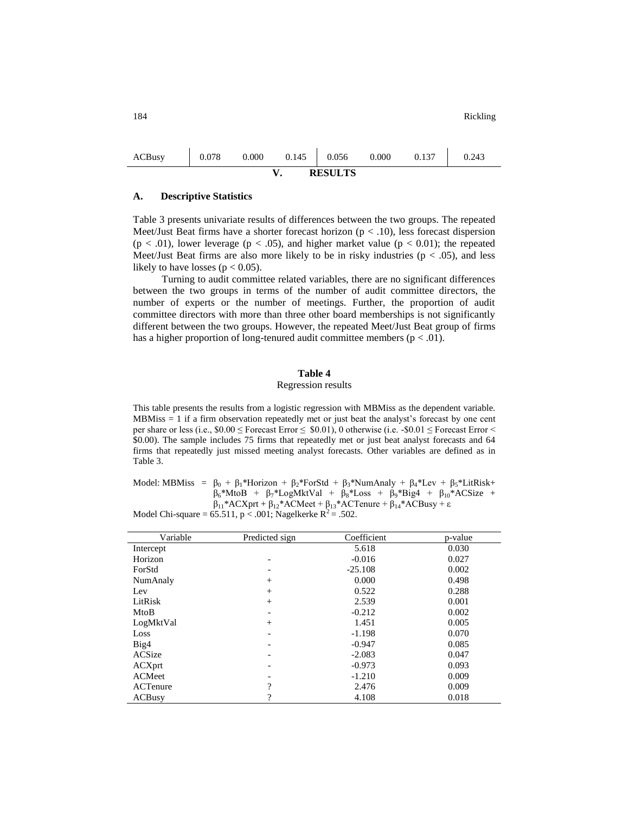| ACBusy         | 0.078 | 0.000 | 0.145 | 0.056 | 0.000 | 0.137 | 0.243 |  |  |
|----------------|-------|-------|-------|-------|-------|-------|-------|--|--|
| <b>RESULTS</b> |       |       |       |       |       |       |       |  |  |

### **A. Descriptive Statistics**

Table 3 presents univariate results of differences between the two groups. The repeated Meet/Just Beat firms have a shorter forecast horizon ( $p < .10$ ), less forecast dispersion  $(p < .01)$ , lower leverage  $(p < .05)$ , and higher market value  $(p < .0.01)$ ; the repeated Meet/Just Beat firms are also more likely to be in risky industries ( $p < .05$ ), and less likely to have losses ( $p < 0.05$ ).

Turning to audit committee related variables, there are no significant differences between the two groups in terms of the number of audit committee directors, the number of experts or the number of meetings. Further, the proportion of audit committee directors with more than three other board memberships is not significantly different between the two groups. However, the repeated Meet/Just Beat group of firms has a higher proportion of long-tenured audit committee members ( $p < .01$ ).

# **Table 4**

### Regression results

This table presents the results from a logistic regression with MBMiss as the dependent variable. MBMiss  $= 1$  if a firm observation repeatedly met or just beat the analyst's forecast by one cent per share or less (i.e.,  $$0.00 \leq$  Forecast Error  $\leq $0.01$ ), 0 otherwise (i.e. - $$0.01 \leq$  Forecast Error  $\leq$ \$0.00). The sample includes 75 firms that repeatedly met or just beat analyst forecasts and 64 firms that repeatedly just missed meeting analyst forecasts. Other variables are defined as in Table 3.

Model: MBMiss =  $\beta_0 + \beta_1*$ Horizon +  $\beta_2*$ ForStd +  $\beta_3*$ NumAnaly +  $\beta_4*$ Lev +  $\beta_5*$ LitRisk+  $\beta_6$ \*MtoB +  $\beta_7$ \*LogMktVal +  $\beta_8$ \*Loss +  $\beta_9$ \*Big4 +  $\beta_{10}$ \*ACSize +  $β<sub>11</sub>*ACXprt + β<sub>12</sub>*ACMeet + β<sub>13</sub>*ACTenure + β<sub>14</sub>*ACBusy + ε$ 

Model Chi-square =  $65.511$ , p < .001; Nagelkerke  $R^2 = .502$ .

| Variable      | Predicted sign           | Coefficient | p-value |
|---------------|--------------------------|-------------|---------|
| Intercept     |                          | 5.618       | 0.030   |
| Horizon       | -                        | $-0.016$    | 0.027   |
| ForStd        | -                        | $-25.108$   | 0.002   |
| NumAnaly      | $+$                      | 0.000       | 0.498   |
| Lev           | $^{+}$                   | 0.522       | 0.288   |
| LitRisk       | $^{+}$                   | 2.539       | 0.001   |
| MtoB          | -                        | $-0.212$    | 0.002   |
| LogMktVal     | $^{+}$                   | 1.451       | 0.005   |
| Loss          | $\overline{\phantom{a}}$ | $-1.198$    | 0.070   |
| Big4          | -                        | $-0.947$    | 0.085   |
| ACSize        | $\overline{\phantom{a}}$ | $-2.083$    | 0.047   |
| ACXprt        | -                        | $-0.973$    | 0.093   |
| ACMeet        | -                        | $-1.210$    | 0.009   |
| ACTenure      | ?                        | 2.476       | 0.009   |
| <b>ACBusy</b> | 9                        | 4.108       | 0.018   |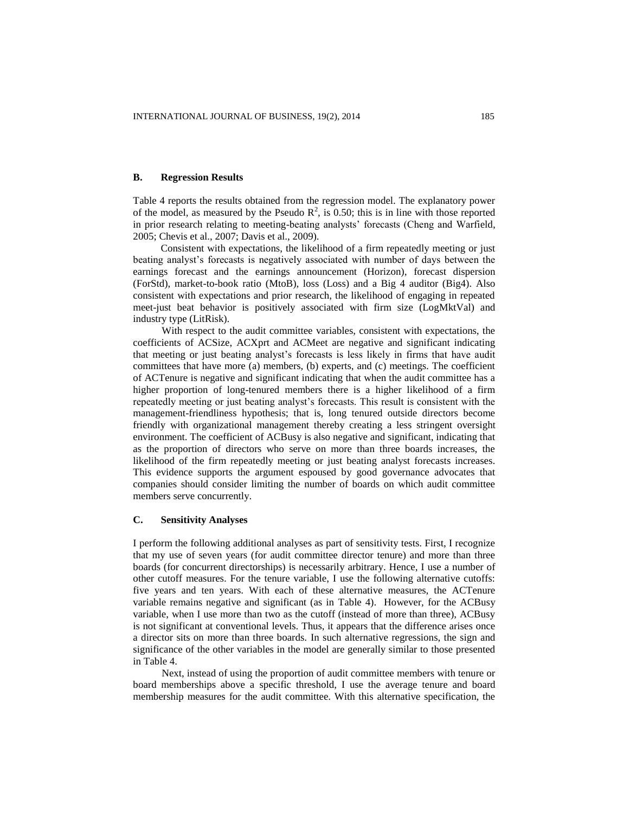## **B. Regression Results**

Table 4 reports the results obtained from the regression model. The explanatory power of the model, as measured by the Pseudo  $\mathbb{R}^2$ , is 0.50; this is in line with those reported in prior research relating to meeting-beating analysts' forecasts (Cheng and Warfield, 2005; Chevis et al., 2007; Davis et al., 2009).

Consistent with expectations, the likelihood of a firm repeatedly meeting or just beating analyst's forecasts is negatively associated with number of days between the earnings forecast and the earnings announcement (Horizon), forecast dispersion (ForStd), market-to-book ratio (MtoB), loss (Loss) and a Big 4 auditor (Big4). Also consistent with expectations and prior research, the likelihood of engaging in repeated meet-just beat behavior is positively associated with firm size (LogMktVal) and industry type (LitRisk).

With respect to the audit committee variables, consistent with expectations, the coefficients of ACSize, ACXprt and ACMeet are negative and significant indicating that meeting or just beating analyst's forecasts is less likely in firms that have audit committees that have more (a) members, (b) experts, and (c) meetings. The coefficient of ACTenure is negative and significant indicating that when the audit committee has a higher proportion of long-tenured members there is a higher likelihood of a firm repeatedly meeting or just beating analyst's forecasts. This result is consistent with the management-friendliness hypothesis; that is, long tenured outside directors become friendly with organizational management thereby creating a less stringent oversight environment. The coefficient of ACBusy is also negative and significant, indicating that as the proportion of directors who serve on more than three boards increases, the likelihood of the firm repeatedly meeting or just beating analyst forecasts increases. This evidence supports the argument espoused by good governance advocates that companies should consider limiting the number of boards on which audit committee members serve concurrently.

### **C. Sensitivity Analyses**

I perform the following additional analyses as part of sensitivity tests. First, I recognize that my use of seven years (for audit committee director tenure) and more than three boards (for concurrent directorships) is necessarily arbitrary. Hence, I use a number of other cutoff measures. For the tenure variable, I use the following alternative cutoffs: five years and ten years. With each of these alternative measures, the ACTenure variable remains negative and significant (as in Table 4). However, for the ACBusy variable, when I use more than two as the cutoff (instead of more than three), ACBusy is not significant at conventional levels. Thus, it appears that the difference arises once a director sits on more than three boards. In such alternative regressions, the sign and significance of the other variables in the model are generally similar to those presented in Table 4.

Next, instead of using the proportion of audit committee members with tenure or board memberships above a specific threshold, I use the average tenure and board membership measures for the audit committee. With this alternative specification, the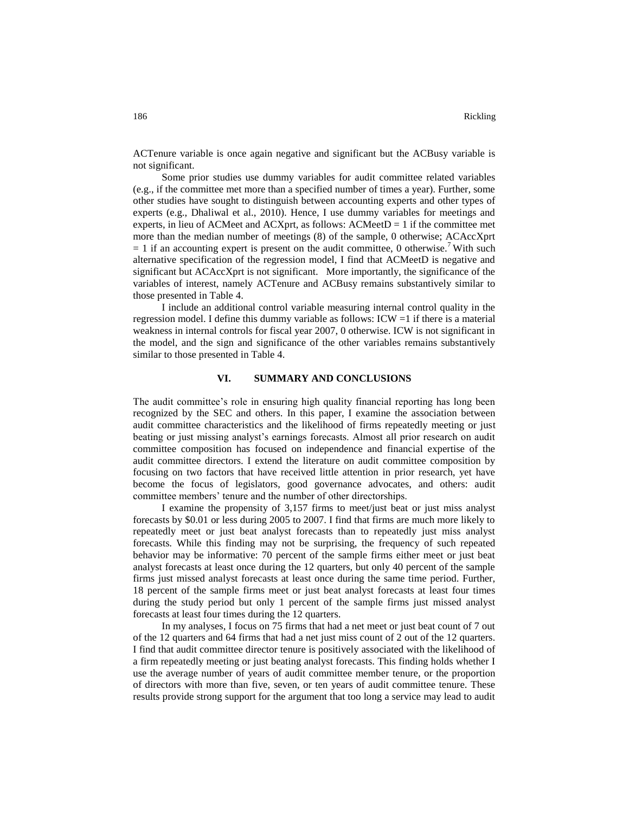ACTenure variable is once again negative and significant but the ACBusy variable is not significant.

Some prior studies use dummy variables for audit committee related variables (e.g., if the committee met more than a specified number of times a year). Further, some other studies have sought to distinguish between accounting experts and other types of experts (e.g., Dhaliwal et al., 2010). Hence, I use dummy variables for meetings and experts, in lieu of ACMeet and ACXprt, as follows:  $\Lambda$ CMeet $D = 1$  if the committee met more than the median number of meetings (8) of the sample, 0 otherwise; ACAccXprt  $= 1$  if an accounting expert is present on the audit committee, 0 otherwise.<sup>7</sup> With such alternative specification of the regression model, I find that ACMeetD is negative and significant but ACAccXprt is not significant. More importantly, the significance of the variables of interest, namely ACTenure and ACBusy remains substantively similar to those presented in Table 4.

I include an additional control variable measuring internal control quality in the regression model. I define this dummy variable as follows: ICW =1 if there is a material weakness in internal controls for fiscal year 2007, 0 otherwise. ICW is not significant in the model, and the sign and significance of the other variables remains substantively similar to those presented in Table 4.

### **VI. SUMMARY AND CONCLUSIONS**

The audit committee's role in ensuring high quality financial reporting has long been recognized by the SEC and others. In this paper, I examine the association between audit committee characteristics and the likelihood of firms repeatedly meeting or just beating or just missing analyst's earnings forecasts. Almost all prior research on audit committee composition has focused on independence and financial expertise of the audit committee directors. I extend the literature on audit committee composition by focusing on two factors that have received little attention in prior research, yet have become the focus of legislators, good governance advocates, and others: audit committee members' tenure and the number of other directorships.

I examine the propensity of 3,157 firms to meet/just beat or just miss analyst forecasts by \$0.01 or less during 2005 to 2007. I find that firms are much more likely to repeatedly meet or just beat analyst forecasts than to repeatedly just miss analyst forecasts. While this finding may not be surprising, the frequency of such repeated behavior may be informative: 70 percent of the sample firms either meet or just beat analyst forecasts at least once during the 12 quarters, but only 40 percent of the sample firms just missed analyst forecasts at least once during the same time period. Further, 18 percent of the sample firms meet or just beat analyst forecasts at least four times during the study period but only 1 percent of the sample firms just missed analyst forecasts at least four times during the 12 quarters.

In my analyses, I focus on 75 firms that had a net meet or just beat count of 7 out of the 12 quarters and 64 firms that had a net just miss count of 2 out of the 12 quarters. I find that audit committee director tenure is positively associated with the likelihood of a firm repeatedly meeting or just beating analyst forecasts. This finding holds whether I use the average number of years of audit committee member tenure, or the proportion of directors with more than five, seven, or ten years of audit committee tenure. These results provide strong support for the argument that too long a service may lead to audit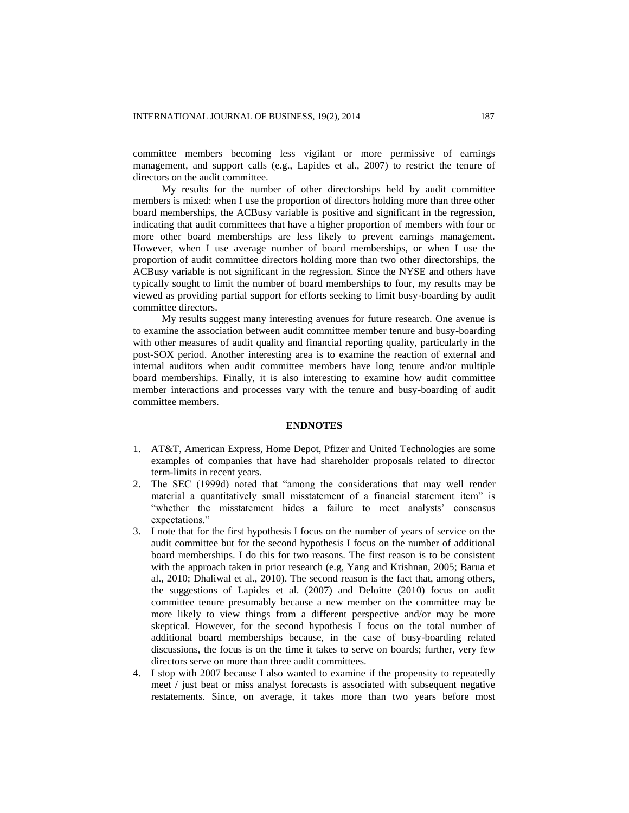committee members becoming less vigilant or more permissive of earnings management, and support calls (e.g., Lapides et al., 2007) to restrict the tenure of directors on the audit committee.

My results for the number of other directorships held by audit committee members is mixed: when I use the proportion of directors holding more than three other board memberships, the ACBusy variable is positive and significant in the regression, indicating that audit committees that have a higher proportion of members with four or more other board memberships are less likely to prevent earnings management. However, when I use average number of board memberships, or when I use the proportion of audit committee directors holding more than two other directorships, the ACBusy variable is not significant in the regression. Since the NYSE and others have typically sought to limit the number of board memberships to four, my results may be viewed as providing partial support for efforts seeking to limit busy-boarding by audit committee directors.

My results suggest many interesting avenues for future research. One avenue is to examine the association between audit committee member tenure and busy-boarding with other measures of audit quality and financial reporting quality, particularly in the post-SOX period. Another interesting area is to examine the reaction of external and internal auditors when audit committee members have long tenure and/or multiple board memberships. Finally, it is also interesting to examine how audit committee member interactions and processes vary with the tenure and busy-boarding of audit committee members.

#### **ENDNOTES**

- 1. AT&T, American Express, Home Depot, Pfizer and United Technologies are some examples of companies that have had shareholder proposals related to director term-limits in recent years.
- 2. The SEC (1999d) noted that "among the considerations that may well render material a quantitatively small misstatement of a financial statement item" is "whether the misstatement hides a failure to meet analysts' consensus expectations."
- 3. I note that for the first hypothesis I focus on the number of years of service on the audit committee but for the second hypothesis I focus on the number of additional board memberships. I do this for two reasons. The first reason is to be consistent with the approach taken in prior research (e.g, Yang and Krishnan, 2005; Barua et al., 2010; Dhaliwal et al., 2010). The second reason is the fact that, among others, the suggestions of Lapides et al. (2007) and Deloitte (2010) focus on audit committee tenure presumably because a new member on the committee may be more likely to view things from a different perspective and/or may be more skeptical. However, for the second hypothesis I focus on the total number of additional board memberships because, in the case of busy-boarding related discussions, the focus is on the time it takes to serve on boards; further, very few directors serve on more than three audit committees.
- 4. I stop with 2007 because I also wanted to examine if the propensity to repeatedly meet / just beat or miss analyst forecasts is associated with subsequent negative restatements. Since, on average, it takes more than two years before most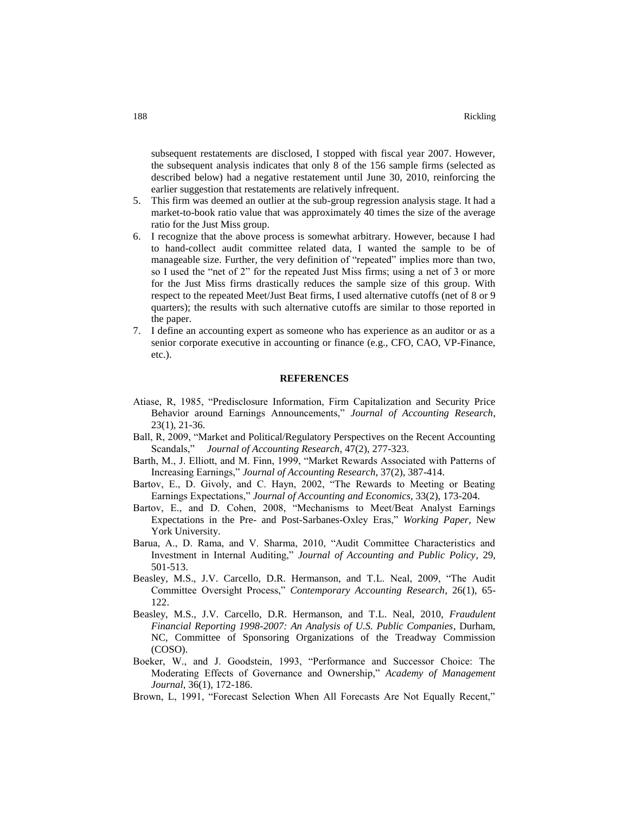subsequent restatements are disclosed, I stopped with fiscal year 2007. However, the subsequent analysis indicates that only 8 of the 156 sample firms (selected as described below) had a negative restatement until June 30, 2010, reinforcing the earlier suggestion that restatements are relatively infrequent.

- 5. This firm was deemed an outlier at the sub-group regression analysis stage. It had a market-to-book ratio value that was approximately 40 times the size of the average ratio for the Just Miss group.
- 6. I recognize that the above process is somewhat arbitrary. However, because I had to hand-collect audit committee related data, I wanted the sample to be of manageable size. Further, the very definition of "repeated" implies more than two, so I used the "net of 2" for the repeated Just Miss firms; using a net of 3 or more for the Just Miss firms drastically reduces the sample size of this group. With respect to the repeated Meet/Just Beat firms, I used alternative cutoffs (net of 8 or 9 quarters); the results with such alternative cutoffs are similar to those reported in the paper.
- 7. I define an accounting expert as someone who has experience as an auditor or as a senior corporate executive in accounting or finance (e.g., CFO, CAO, VP-Finance, etc.).

### **REFERENCES**

- Atiase, R, 1985, "Predisclosure Information, Firm Capitalization and Security Price Behavior around Earnings Announcements," *Journal of Accounting Research*, 23(1), 21-36.
- Ball, R, 2009, "Market and Political/Regulatory Perspectives on the Recent Accounting Scandals," *Journal of Accounting Research*, 47(2), 277-323.
- Barth, M., J. Elliott, and M. Finn, 1999, "Market Rewards Associated with Patterns of Increasing Earnings," *Journal of Accounting Research*, 37(2), 387-414.
- Bartov, E., D. Givoly, and C. Hayn, 2002, "The Rewards to Meeting or Beating Earnings Expectations," *Journal of Accounting and Economics*, 33(2), 173-204.
- Bartov, E., and D. Cohen, 2008, "Mechanisms to Meet/Beat Analyst Earnings Expectations in the Pre- and Post-Sarbanes-Oxley Eras," *Working Paper*, New York University.
- Barua, A., D. Rama, and V. Sharma, 2010, "Audit Committee Characteristics and Investment in Internal Auditing," *Journal of Accounting and Public Policy*, 29, 501-513.
- Beasley, M.S., J.V. Carcello, D.R. Hermanson, and T.L. Neal, 2009, "The Audit Committee Oversight Process," *Contemporary Accounting Research*, 26(1), 65- 122.
- Beasley, M.S., J.V. Carcello, D.R. Hermanson, and T.L. Neal, 2010, *Fraudulent Financial Reporting 1998-2007: An Analysis of U.S. Public Companies*, Durham, NC, Committee of Sponsoring Organizations of the Treadway Commission (COSO).
- Boeker, W., and J. Goodstein, 1993, "Performance and Successor Choice: The Moderating Effects of Governance and Ownership," *Academy of Management Journal*, 36(1), 172-186.
- Brown, L, 1991, "Forecast Selection When All Forecasts Are Not Equally Recent,"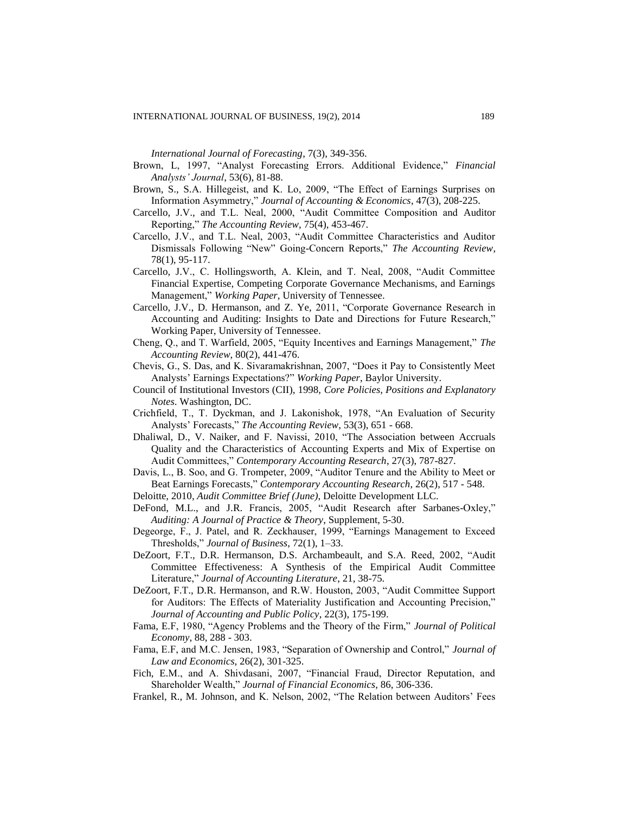*International Journal of Forecasting*, 7(3), 349-356.

- Brown, L, 1997, "Analyst Forecasting Errors. Additional Evidence," *Financial Analysts' Journal*, 53(6), 81-88.
- Brown, S., S.A. Hillegeist, and K. Lo, 2009, "The Effect of Earnings Surprises on Information Asymmetry," *Journal of Accounting & Economics*, 47(3), 208-225.
- Carcello, J.V., and T.L. Neal, 2000, "Audit Committee Composition and Auditor Reporting," *The Accounting Review*, 75(4), 453-467.
- Carcello, J.V., and T.L. Neal, 2003, "Audit Committee Characteristics and Auditor Dismissals Following "New" Going-Concern Reports," *The Accounting Review*, 78(1), 95-117.
- Carcello, J.V., C. Hollingsworth, A. Klein, and T. Neal, 2008, "Audit Committee Financial Expertise, Competing Corporate Governance Mechanisms, and Earnings Management," *Working Paper*, University of Tennessee.
- Carcello, J.V., D. Hermanson, and Z. Ye, 2011, "Corporate Governance Research in Accounting and Auditing: Insights to Date and Directions for Future Research," Working Paper, University of Tennessee.
- Cheng, Q., and T. Warfield, 2005, "Equity Incentives and Earnings Management," *The Accounting Review*, 80(2), 441-476.
- Chevis, G., S. Das, and K. Sivaramakrishnan, 2007, "Does it Pay to Consistently Meet Analysts' Earnings Expectations?" *Working Paper*, Baylor University.
- Council of Institutional Investors (CII), 1998, *Core Policies, Positions and Explanatory Notes*. Washington, DC.
- Crichfield, T., T. Dyckman, and J. Lakonishok, 1978, "An Evaluation of Security Analysts' Forecasts," *The Accounting Review*, 53(3), 651 - 668.
- Dhaliwal, D., V. Naiker, and F. Navissi, 2010, "The Association between Accruals Quality and the Characteristics of Accounting Experts and Mix of Expertise on Audit Committees," *Contemporary Accounting Research*, 27(3), 787-827.
- Davis, L., B. Soo, and G. Trompeter, 2009, "Auditor Tenure and the Ability to Meet or Beat Earnings Forecasts," *Contemporary Accounting Research*, 26(2), 517 - 548.
- Deloitte, 2010, *Audit Committee Brief (June)*, Deloitte Development LLC.
- DeFond, M.L., and J.R. Francis, 2005, "Audit Research after Sarbanes-Oxley," *Auditing: A Journal of Practice & Theory*, Supplement, 5-30.
- Degeorge, F., J. Patel, and R. Zeckhauser, 1999, "Earnings Management to Exceed Thresholds," *Journal of Business*, 72(1), 1–33.
- DeZoort, F.T., D.R. Hermanson, D.S. Archambeault, and S.A. Reed, 2002, "Audit Committee Effectiveness: A Synthesis of the Empirical Audit Committee Literature," *Journal of Accounting Literature*, 21, 38-75.
- DeZoort, F.T., D.R. Hermanson, and R.W. Houston, 2003, "Audit Committee Support for Auditors: The Effects of Materiality Justification and Accounting Precision," *Journal of Accounting and Public Policy*, 22(3), 175-199.
- Fama, E.F, 1980, "Agency Problems and the Theory of the Firm," *Journal of Political Economy*, 88, 288 - 303.
- Fama, E.F, and M.C. Jensen, 1983, "Separation of Ownership and Control," *Journal of Law and Economics*, 26(2), 301-325.
- Fich, E.M., and A. Shivdasani, 2007, "Financial Fraud, Director Reputation, and Shareholder Wealth," *Journal of Financial Economics*, 86, 306-336.
- Frankel, R., M. Johnson, and K. Nelson, 2002, "The Relation between Auditors' Fees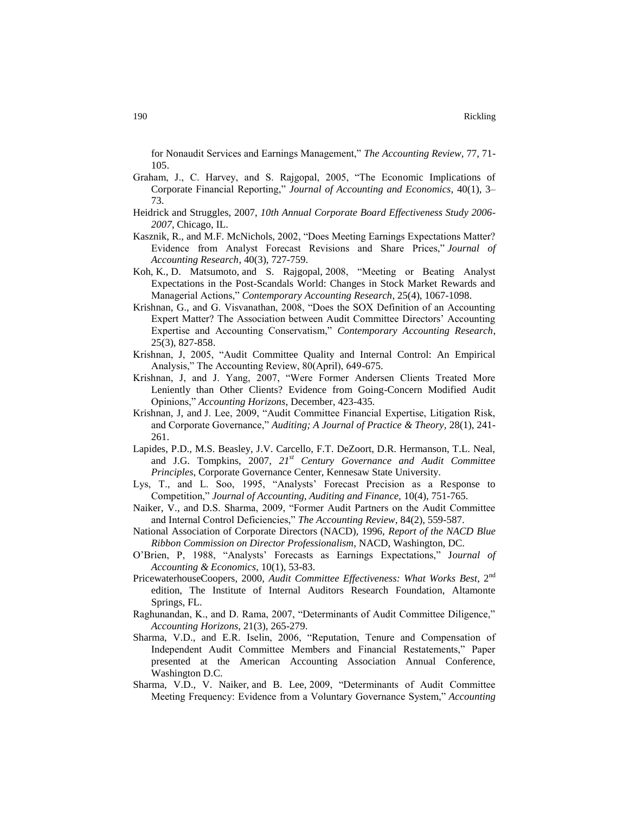for Nonaudit Services and Earnings Management," *The Accounting Review*, 77, 71- 105.

- Graham, J., C. Harvey, and S. Rajgopal, 2005, "The Economic Implications of Corporate Financial Reporting," *Journal of Accounting and Economics*, 40(1), 3– 73.
- Heidrick and Struggles, 2007, *10th Annual Corporate Board Effectiveness Study 2006- 2007*, Chicago, IL.
- Kasznik, R., and M.F. McNichols, 2002, "Does Meeting Earnings Expectations Matter? Evidence from Analyst Forecast Revisions and Share Prices," *Journal of Accounting Research*, 40(3), 727-759.
- Koh, K., D. Matsumoto, and S. Rajgopal, 2008, "Meeting or Beating Analyst Expectations in the Post-Scandals World: Changes in Stock Market Rewards and Managerial Actions," *Contemporary Accounting Research*, 25(4), 1067-1098.
- Krishnan, G., and G. Visvanathan, 2008, "Does the SOX Definition of an Accounting Expert Matter? The Association between Audit Committee Directors' Accounting Expertise and Accounting Conservatism," *Contemporary Accounting Research*, 25(3), 827-858.
- Krishnan, J, 2005, "Audit Committee Quality and Internal Control: An Empirical Analysis," The Accounting Review, 80(April), 649-675.
- Krishnan, J, and J. Yang, 2007, "Were Former Andersen Clients Treated More Leniently than Other Clients? Evidence from Going-Concern Modified Audit Opinions," *Accounting Horizons*, December, 423-435.
- Krishnan, J, and J. Lee, 2009, "Audit Committee Financial Expertise, Litigation Risk, and Corporate Governance," *Auditing; A Journal of Practice & Theory,* 28(1), 241- 261.
- Lapides, P.D., M.S. Beasley, J.V. Carcello, F.T. DeZoort, D.R. Hermanson, T.L. Neal, and J.G. Tompkins, 2007, *21st Century Governance and Audit Committee Principles*, Corporate Governance Center, Kennesaw State University.
- Lys, T., and L. Soo, 1995, "Analysts' Forecast Precision as a Response to Competition," *Journal of Accounting, Auditing and Finance,* 10(4), 751-765.
- Naiker, V., and D.S. Sharma, 2009, "Former Audit Partners on the Audit Committee and Internal Control Deficiencies," *The Accounting Review*, 84(2), 559-587.
- National Association of Corporate Directors (NACD), 1996, *Report of the NACD Blue Ribbon Commission on Director Professionalism*, NACD, Washington, DC.
- O'Brien, P, 1988, "Analysts' Forecasts as Earnings Expectations," J*ournal of Accounting & Economics*, 10(1), 53-83.
- PricewaterhouseCoopers, 2000, Audit Committee Effectiveness: What Works Best, 2<sup>nd</sup> edition, The Institute of Internal Auditors Research Foundation, Altamonte Springs, FL.
- Raghunandan, K., and D. Rama, 2007, "Determinants of Audit Committee Diligence," *Accounting Horizons*, 21(3), 265-279.
- Sharma, V.D., and E.R. Iselin, 2006, "Reputation, Tenure and Compensation of Independent Audit Committee Members and Financial Restatements," Paper presented at the American Accounting Association Annual Conference, Washington D.C.
- Sharma, V.D., V. Naiker, and B. Lee, 2009, "Determinants of Audit Committee Meeting Frequency: Evidence from a Voluntary Governance System," *Accounting*